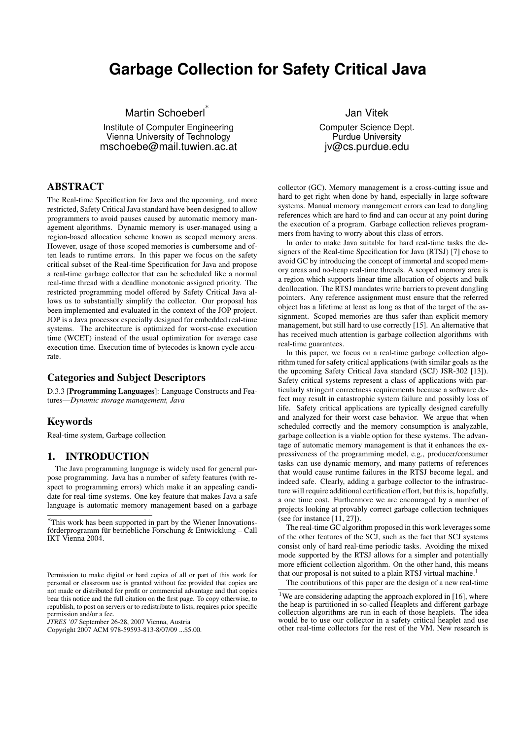# **Garbage Collection for Safety Critical Java**

Martin Schoeberl<sup>\*</sup>

Institute of Computer Engineering Vienna University of Technology mschoebe@mail.tuwien.ac.at

# ABSTRACT

The Real-time Specification for Java and the upcoming, and more restricted, Safety Critical Java standard have been designed to allow programmers to avoid pauses caused by automatic memory management algorithms. Dynamic memory is user-managed using a region-based allocation scheme known as scoped memory areas. However, usage of those scoped memories is cumbersome and often leads to runtime errors. In this paper we focus on the safety critical subset of the Real-time Specification for Java and propose a real-time garbage collector that can be scheduled like a normal real-time thread with a deadline monotonic assigned priority. The restricted programming model offered by Safety Critical Java allows us to substantially simplify the collector. Our proposal has been implemented and evaluated in the context of the JOP project. JOP is a Java processor especially designed for embedded real-time systems. The architecture is optimized for worst-case execution time (WCET) instead of the usual optimization for average case execution time. Execution time of bytecodes is known cycle accurate.

### Categories and Subject Descriptors

D.3.3 [Programming Languages]: Language Constructs and Features—*Dynamic storage management, Java*

### Keywords

Real-time system, Garbage collection

### 1. INTRODUCTION

The Java programming language is widely used for general purpose programming. Java has a number of safety features (with respect to programming errors) which make it an appealing candidate for real-time systems. One key feature that makes Java a safe language is automatic memory management based on a garbage

*JTRES '07* September 26-28, 2007 Vienna, Austria

Copyright 2007 ACM 978-59593-813-8/07/09 ...\$5.00.

Jan Vitek Computer Science Dept. Purdue University jv@cs.purdue.edu

collector (GC). Memory management is a cross-cutting issue and hard to get right when done by hand, especially in large software systems. Manual memory management errors can lead to dangling references which are hard to find and can occur at any point during the execution of a program. Garbage collection relieves programmers from having to worry about this class of errors.

In order to make Java suitable for hard real-time tasks the designers of the Real-time Specification for Java (RTSJ) [7] chose to avoid GC by introducing the concept of immortal and scoped memory areas and no-heap real-time threads. A scoped memory area is a region which supports linear time allocation of objects and bulk deallocation. The RTSJ mandates write barriers to prevent dangling pointers. Any reference assignment must ensure that the referred object has a lifetime at least as long as that of the target of the assignment. Scoped memories are thus safer than explicit memory management, but still hard to use correctly [15]. An alternative that has received much attention is garbage collection algorithms with real-time guarantees.

In this paper, we focus on a real-time garbage collection algorithm tuned for safety critical applications (with similar goals as the the upcoming Safety Critical Java standard (SCJ) JSR-302 [13]). Safety critical systems represent a class of applications with particularly stringent correctness requirements because a software defect may result in catastrophic system failure and possibly loss of life. Safety critical applications are typically designed carefully and analyzed for their worst case behavior. We argue that when scheduled correctly and the memory consumption is analyzable, garbage collection is a viable option for these systems. The advantage of automatic memory management is that it enhances the expressiveness of the programming model, e.g., producer/consumer tasks can use dynamic memory, and many patterns of references that would cause runtime failures in the RTSJ become legal, and indeed safe. Clearly, adding a garbage collector to the infrastructure will require additional certification effort, but this is, hopefully, a one time cost. Furthermore we are encouraged by a number of projects looking at provably correct garbage collection techniques (see for instance [11, 27]).

The real-time GC algorithm proposed in this work leverages some of the other features of the SCJ, such as the fact that SCJ systems consist only of hard real-time periodic tasks. Avoiding the mixed mode supported by the RTSJ allows for a simpler and potentially more efficient collection algorithm. On the other hand, this means that our proposal is not suited to a plain RTSJ virtual machine.<sup>1</sup>

The contributions of this paper are the design of a new real-time

<sup>∗</sup>This work has been supported in part by the Wiener Innovationsförderprogramm für betriebliche Forschung & Entwicklung – Call IKT Vienna 2004.

Permission to make digital or hard copies of all or part of this work for personal or classroom use is granted without fee provided that copies are not made or distributed for profit or commercial advantage and that copies bear this notice and the full citation on the first page. To copy otherwise, to republish, to post on servers or to redistribute to lists, requires prior specific permission and/or a fee.

<sup>&</sup>lt;sup>1</sup>We are considering adapting the approach explored in [16], where the heap is partitioned in so-called Heaplets and different garbage collection algorithms are run in each of those heaplets. The idea would be to use our collector in a safety critical heaplet and use other real-time collectors for the rest of the VM. New research is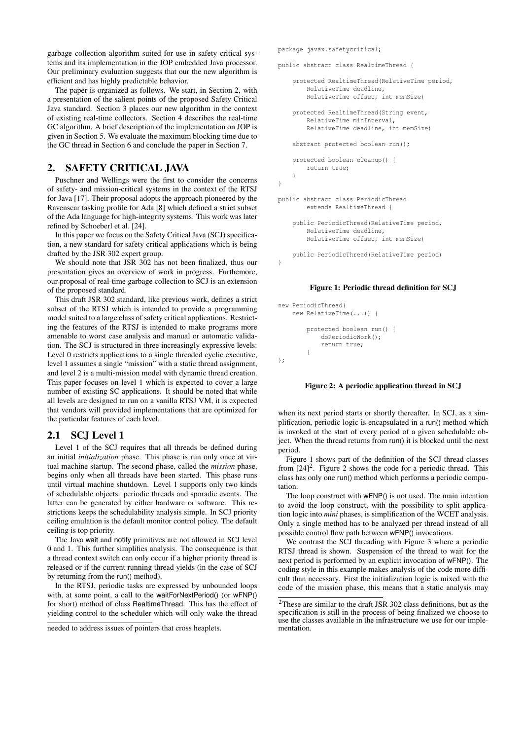garbage collection algorithm suited for use in safety critical systems and its implementation in the JOP embedded Java processor. Our preliminary evaluation suggests that our the new algorithm is efficient and has highly predictable behavior.

The paper is organized as follows. We start, in Section 2, with a presentation of the salient points of the proposed Safety Critical Java standard. Section 3 places our new algorithm in the context of existing real-time collectors. Section 4 describes the real-time GC algorithm. A brief description of the implementation on JOP is given in Section 5. We evaluate the maximum blocking time due to the GC thread in Section 6 and conclude the paper in Section 7.

# 2. SAFETY CRITICAL JAVA

Puschner and Wellings were the first to consider the concerns of safety- and mission-critical systems in the context of the RTSJ for Java [17]. Their proposal adopts the approach pioneered by the Ravenscar tasking profile for Ada [8] which defined a strict subset of the Ada language for high-integrity systems. This work was later refined by Schoeberl et al. [24].

In this paper we focus on the Safety Critical Java (SCJ) specification, a new standard for safety critical applications which is being drafted by the JSR 302 expert group.

We should note that JSR 302 has not been finalized, thus our presentation gives an overview of work in progress. Furthemore, our proposal of real-time garbage collection to SCJ is an extension of the proposed standard.

This draft JSR 302 standard, like previous work, defines a strict subset of the RTSJ which is intended to provide a programming model suited to a large class of safety critical applications. Restricting the features of the RTSJ is intended to make programs more amenable to worst case analysis and manual or automatic validation. The SCJ is structured in three increasingly expressive levels: Level 0 restricts applications to a single threaded cyclic executive, level 1 assumes a single "mission" with a static thread assignment, and level 2 is a multi-mission model with dynamic thread creation. This paper focuses on level 1 which is expected to cover a large number of existing SC applications. It should be noted that while all levels are designed to run on a vanilla RTSJ VM, it is expected that vendors will provided implementations that are optimized for the particular features of each level.

### 2.1 SCJ Level 1

Level 1 of the SCJ requires that all threads be defined during an initial *initialization* phase. This phase is run only once at virtual machine startup. The second phase, called the *mission* phase, begins only when all threads have been started. This phase runs until virtual machine shutdown. Level 1 supports only two kinds of schedulable objects: periodic threads and sporadic events. The latter can be generated by either hardware or software. This restrictions keeps the schedulability analysis simple. In SCJ priority ceiling emulation is the default monitor control policy. The default ceiling is top priority.

The Java wait and notify primitives are not allowed in SCJ level 0 and 1. This further simplifies analysis. The consequence is that a thread context switch can only occur if a higher priority thread is released or if the current running thread yields (in the case of SCJ by returning from the run() method).

In the RTSJ, periodic tasks are expressed by unbounded loops with, at some point, a call to the waitForNextPeriod() (or wFNP() for short) method of class RealtimeThread. This has the effect of yielding control to the scheduler which will only wake the thread

package javax.safetycritical;

public abstract class RealtimeThread {

```
protected RealtimeThread(RelativeTime period,
        RelativeTime deadline,
        RelativeTime offset, int memSize)
    protected RealtimeThread(String event,
        RelativeTime minInterval,
        RelativeTime deadline, int memSize)
    abstract protected boolean run();
   protected boolean cleanup() {
        return true;
    }
public abstract class PeriodicThread
        extends RealtimeThread {
   public PeriodicThread(RelativeTime period,
        RelativeTime deadline,
        RelativeTime offset, int memSize)
   public PeriodicThread(RelativeTime period)
```
}

}

#### Figure 1: Periodic thread definition for SCJ

```
new PeriodicThread(
    new RelativeTime(...)) {
        protected boolean run() {
            doPeriodicWork();
            return true;
        }
};
```
#### Figure 2: A periodic application thread in SCJ

when its next period starts or shortly thereafter. In SCJ, as a simplification, periodic logic is encapsulated in a run() method which is invoked at the start of every period of a given schedulable object. When the thread returns from run() it is blocked until the next period.

Figure 1 shows part of the definition of the SCJ thread classes from  $[24]^2$ . Figure 2 shows the code for a periodic thread. This class has only one run() method which performs a periodic computation.

The loop construct with wFNP() is not used. The main intention to avoid the loop construct, with the possibility to split application logic into *mini* phases, is simplification of the WCET analysis. Only a single method has to be analyzed per thread instead of all possible control flow path between wFNP() invocations.

We contrast the SCJ threading with Figure 3 where a periodic RTSJ thread is shown. Suspension of the thread to wait for the next period is performed by an explicit invocation of wFNP(). The coding style in this example makes analysis of the code more difficult than necessary. First the initialization logic is mixed with the code of the mission phase, this means that a static analysis may

needed to address issues of pointers that cross heaplets.

<sup>2</sup>These are similar to the draft JSR 302 class definitions, but as the specification is still in the process of being finalized we choose to use the classes available in the infrastructure we use for our implementation.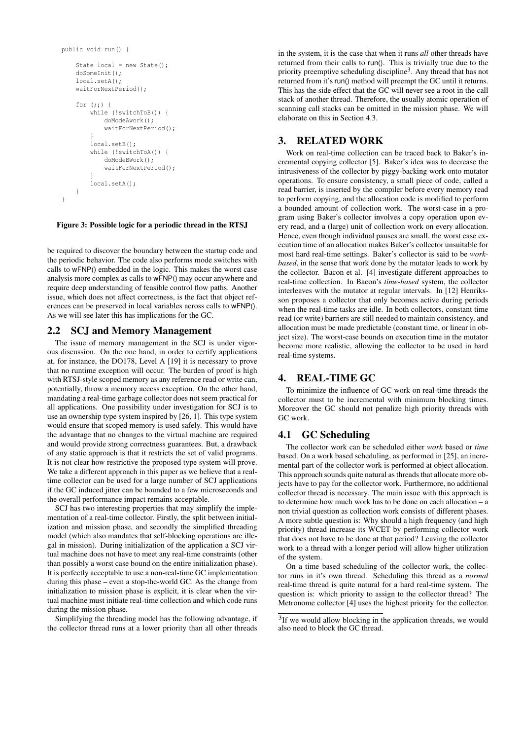```
public void run() {
    State local = new State():
    doSomeInit();
    local.setA();
    waitForNextPeriod();
    for (::) {
        while (!switchToB()) {
            doModeAwork();
            waitForNextPeriod();
        }
        local.setB();
        while (!switchToA()) {
            doModeBWork();
            waitForNextPeriod();
        }
        local.setA();
    }
}
```
### Figure 3: Possible logic for a periodic thread in the RTSJ

be required to discover the boundary between the startup code and the periodic behavior. The code also performs mode switches with calls to wFNP() embedded in the logic. This makes the worst case analysis more complex as calls to wFNP() may occur anywhere and require deep understanding of feasible control flow paths. Another issue, which does not affect correctness, is the fact that object references can be preserved in local variables across calls to wFNP(). As we will see later this has implications for the GC.

### 2.2 SCJ and Memory Management

The issue of memory management in the SCJ is under vigorous discussion. On the one hand, in order to certify applications at, for instance, the DO178, Level A [19] it is necessary to prove that no runtime exception will occur. The burden of proof is high with RTSJ-style scoped memory as any reference read or write can, potentially, throw a memory access exception. On the other hand, mandating a real-time garbage collector does not seem practical for all applications. One possibility under investigation for SCJ is to use an ownership type system inspired by [26, 1]. This type system would ensure that scoped memory is used safely. This would have the advantage that no changes to the virtual machine are required and would provide strong correctness guarantees. But, a drawback of any static approach is that it restricts the set of valid programs. It is not clear how restrictive the proposed type system will prove. We take a different approach in this paper as we believe that a realtime collector can be used for a large number of SCJ applications if the GC induced jitter can be bounded to a few microseconds and the overall performance impact remains acceptable.

SCJ has two interesting properties that may simplify the implementation of a real-time collector. Firstly, the split between initialization and mission phase, and secondly the simplified threading model (which also mandates that self-blocking operations are illegal in mission). During initialization of the application a SCJ virtual machine does not have to meet any real-time constraints (other than possibly a worst case bound on the entire initialization phase). It is perfectly acceptable to use a non-real-time GC implementation during this phase – even a stop-the-world GC. As the change from initialization to mission phase is explicit, it is clear when the virtual machine must initiate real-time collection and which code runs during the mission phase.

Simplifying the threading model has the following advantage, if the collector thread runs at a lower priority than all other threads in the system, it is the case that when it runs *all* other threads have returned from their calls to run(). This is trivially true due to the priority preemptive scheduling discipline<sup>3</sup>. Any thread that has not returned from it's run() method will preempt the GC until it returns. This has the side effect that the GC will never see a root in the call stack of another thread. Therefore, the usually atomic operation of scanning call stacks can be omitted in the mission phase. We will elaborate on this in Section 4.3.

# 3. RELATED WORK

Work on real-time collection can be traced back to Baker's incremental copying collector [5]. Baker's idea was to decrease the intrusiveness of the collector by piggy-backing work onto mutator operations. To ensure consistency, a small piece of code, called a read barrier, is inserted by the compiler before every memory read to perform copying, and the allocation code is modified to perform a bounded amount of collection work. The worst-case in a program using Baker's collector involves a copy operation upon every read, and a (large) unit of collection work on every allocation. Hence, even though individual pauses are small, the worst case execution time of an allocation makes Baker's collector unsuitable for most hard real-time settings. Baker's collector is said to be *workbased*, in the sense that work done by the mutator leads to work by the collector. Bacon et al. [4] investigate different approaches to real-time collection. In Bacon's *time-based* system, the collector interleaves with the mutator at regular intervals. In [12] Henriksson proposes a collector that only becomes active during periods when the real-time tasks are idle. In both collectors, constant time read (or write) barriers are still needed to maintain consistency, and allocation must be made predictable (constant time, or linear in object size). The worst-case bounds on execution time in the mutator become more realistic, allowing the collector to be used in hard real-time systems.

### 4. REAL-TIME GC

To minimize the influence of GC work on real-time threads the collector must to be incremental with minimum blocking times. Moreover the GC should not penalize high priority threads with GC work.

# 4.1 GC Scheduling

The collector work can be scheduled either *work* based or *time* based. On a work based scheduling, as performed in [25], an incremental part of the collector work is performed at object allocation. This approach sounds quite natural as threads that allocate more objects have to pay for the collector work. Furthermore, no additional collector thread is necessary. The main issue with this approach is to determine how much work has to be done on each allocation – a non trivial question as collection work consists of different phases. A more subtle question is: Why should a high frequency (and high priority) thread increase its WCET by performing collector work that does not have to be done at that period? Leaving the collector work to a thread with a longer period will allow higher utilization of the system.

On a time based scheduling of the collector work, the collector runs in it's own thread. Scheduling this thread as a *normal* real-time thread is quite natural for a hard real-time system. The question is: which priority to assign to the collector thread? The Metronome collector [4] uses the highest priority for the collector.

<sup>&</sup>lt;sup>3</sup>If we would allow blocking in the application threads, we would also need to block the GC thread.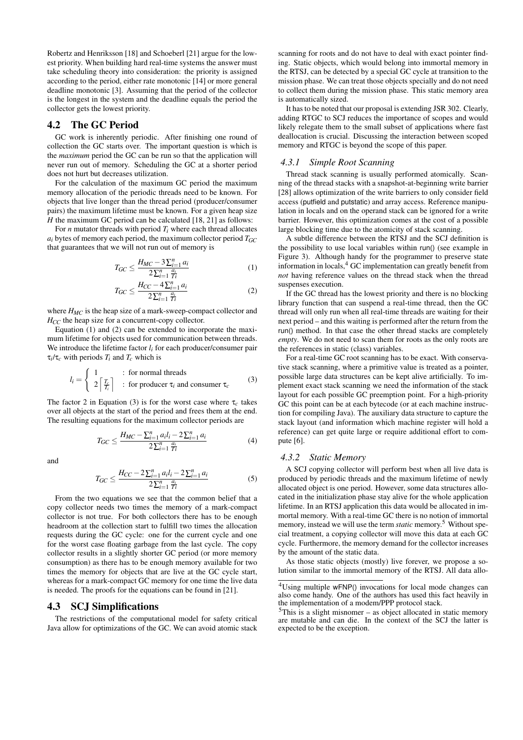Robertz and Henriksson [18] and Schoeberl [21] argue for the lowest priority. When building hard real-time systems the answer must take scheduling theory into consideration: the priority is assigned according to the period, either rate monotonic [14] or more general deadline monotonic [3]. Assuming that the period of the collector is the longest in the system and the deadline equals the period the collector gets the lowest priority.

### 4.2 The GC Period

GC work is inherently periodic. After finishing one round of collection the GC starts over. The important question is which is the *maximum* period the GC can be run so that the application will never run out of memory. Scheduling the GC at a shorter period does not hurt but decreases utilization.

For the calculation of the maximum GC period the maximum memory allocation of the periodic threads need to be known. For objects that live longer than the thread period (producer/consumer pairs) the maximum lifetime must be known. For a given heap size *H* the maximum GC period can be calculated [18, 21] as follows:

For *n* mutator threads with period *Ti* where each thread allocates  $a_i$  bytes of memory each period, the maximum collector period  $T_{GC}$ that guarantees that we will not run out of memory is

$$
T_{GC} \le \frac{H_{MC} - 3\sum_{i=1}^{n} a_i}{2\sum_{i=1}^{n} \frac{a_i}{T_i}}
$$
(1)

$$
T_{GC} \le \frac{H_{CC} - 4\sum_{i=1}^{n} a_i}{2\sum_{i=1}^{n} \frac{a_i}{T_i}}
$$
(2)

where *HMC* is the heap size of a mark-sweep-compact collector and *H<sub>CC</sub>* the heap size for a concurrent-copy collector.

Equation (1) and (2) can be extended to incorporate the maximum lifetime for objects used for communication between threads. We introduce the lifetime factor  $l_i$  for each producer/consumer pair  $\tau_i/\tau_c$  with periods  $T_i$  and  $T_c$  which is

$$
l_i = \begin{cases} 1 & \text{if } i \text{ is not normal threads} \\ 2\left\lceil \frac{T_c}{T_i} \right\rceil & \text{if } i \text{ for producer } \tau_i \text{ and consumer } \tau_c \end{cases}
$$
 (3)

The factor 2 in Equation (3) is for the worst case where  $\tau_c$  takes over all objects at the start of the period and frees them at the end. The resulting equations for the maximum collector periods are

$$
T_{GC} \le \frac{H_{MC} - \sum_{i=1}^{n} a_i l_i - 2 \sum_{i=1}^{n} a_i}{2 \sum_{i=1}^{n} \frac{a_i}{T_i}}
$$
(4)

and

$$
T_{GC} \le \frac{H_{CC} - 2\sum_{i=1}^{n} a_i l_i - 2\sum_{i=1}^{n} a_i}{2\sum_{i=1}^{n} \frac{a_i}{Ti}} \tag{5}
$$

From the two equations we see that the common belief that a copy collector needs two times the memory of a mark-compact collector is not true. For both collectors there has to be enough headroom at the collection start to fulfill two times the allocation requests during the GC cycle: one for the current cycle and one for the worst case floating garbage from the last cycle. The copy collector results in a slightly shorter GC period (or more memory consumption) as there has to be enough memory available for two times the memory for objects that are live at the GC cycle start, whereas for a mark-compact GC memory for one time the live data is needed. The proofs for the equations can be found in [21].

#### 4.3 SCJ Simplifications

The restrictions of the computational model for safety critical Java allow for optimizations of the GC. We can avoid atomic stack

scanning for roots and do not have to deal with exact pointer finding. Static objects, which would belong into immortal memory in the RTSJ, can be detected by a special GC cycle at transition to the mission phase. We can treat those objects specially and do not need to collect them during the mission phase. This static memory area is automatically sized.

It has to be noted that our proposal is extending JSR 302. Clearly, adding RTGC to SCJ reduces the importance of scopes and would likely relegate them to the small subset of applications where fast deallocation is crucial. Discussing the interaction between scoped memory and RTGC is beyond the scope of this paper.

### *4.3.1 Simple Root Scanning*

Thread stack scanning is usually performed atomically. Scanning of the thread stacks with a snapshot-at-beginning write barrier [28] allows optimization of the write barriers to only consider field access (putfield and putstatic) and array access. Reference manipulation in locals and on the operand stack can be ignored for a write barrier. However, this optimization comes at the cost of a possible large blocking time due to the atomicity of stack scanning.

A subtle difference between the RTSJ and the SCJ definition is the possibility to use local variables within run() (see example in Figure 3). Although handy for the programmer to preserve state information in locals,<sup>4</sup> GC implementation can greatly benefit from *not* having reference values on the thread stack when the thread suspenses execution.

If the GC thread has the lowest priority and there is no blocking library function that can suspend a real-time thread, then the GC thread will only run when all real-time threads are waiting for their next period – and this waiting is performed after the return from the run() method. In that case the other thread stacks are completely *empty*. We do not need to scan them for roots as the only roots are the references in static (class) variables.

For a real-time GC root scanning has to be exact. With conservative stack scanning, where a primitive value is treated as a pointer, possible large data structures can be kept alive artificially. To implement exact stack scanning we need the information of the stack layout for each possible GC preemption point. For a high-priority GC this point can be at each bytecode (or at each machine instruction for compiling Java). The auxiliary data structure to capture the stack layout (and information which machine register will hold a reference) can get quite large or require additional effort to compute [6].

#### *4.3.2 Static Memory*

A SCJ copying collector will perform best when all live data is produced by periodic threads and the maximum lifetime of newly allocated object is one period. However, some data structures allocated in the initialization phase stay alive for the whole application lifetime. In an RTSJ application this data would be allocated in immortal memory. With a real-time GC there is no notion of immortal memory, instead we will use the term *static* memory.<sup>5</sup> Without special treatment, a copying collector will move this data at each GC cycle. Furthermore, the memory demand for the collector increases by the amount of the static data.

As those static objects (mostly) live forever, we propose a solution similar to the immortal memory of the RTSJ. All data allo-

<sup>4</sup>Using multiple wFNP() invocations for local mode changes can also come handy. One of the authors has used this fact heavily in the implementation of a modem/PPP protocol stack.

 $5$ This is a slight misnomer – as object allocated in static memory are mutable and can die. In the context of the SCJ the latter is expected to be the exception.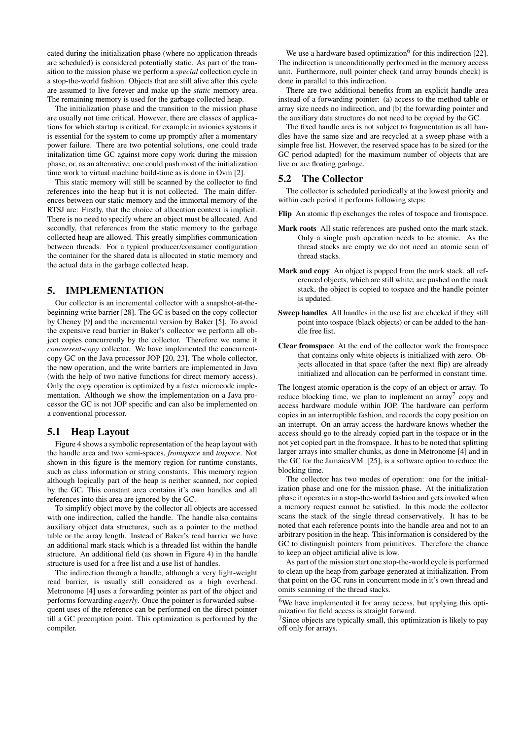cated during the initialization phase (where no application threads are scheduled) is considered potentially static. As part of the transition to the mission phase we perform a *special* collection cycle in a stop-the-world fashion. Objects that are still alive after this cycle are assumed to live forever and make up the *static* memory area. The remaining memory is used for the garbage collected heap.

The initialization phase and the transition to the mission phase are usually not time critical. However, there are classes of applications for which startup is critical, for example in avionics systems it is essential for the system to come up promptly after a momentary power failure. There are two potential solutions, one could trade initalization time GC against more copy work during the mission phase, or, as an alternative, one could push most of the initialization time work to virtual machine build-time as is done in Ovm [2].

This static memory will still be scanned by the collector to find references into the heap but it is not collected. The main differences between our static memory and the immortal memory of the RTSJ are: Firstly, that the choice of allocation context is implicit. There is no need to specify where an object must be allocated. And secondly, that references from the static memory to the garbage collected heap are allowed. This greatly simplifies communication between threads. For a typical producer/consumer configuration the container for the shared data is allocated in static memory and the actual data in the garbage collected heap.

### 5. IMPLEMENTATION

Our collector is an incremental collector with a snapshot-at-thebeginning write barrier [28]. The GC is based on the copy collector by Cheney [9] and the incremental version by Baker [5]. To avoid the expensive read barrier in Baker's collector we perform all object copies concurrently by the collector. Therefore we name it *concurrent-copy* collector. We have implemented the concurrentcopy GC on the Java processor JOP [20, 23]. The whole collector, the new operation, and the write barriers are implemented in Java (with the help of two native functions for direct memory access). Only the copy operation is optimized by a faster microcode implementation. Although we show the implementation on a Java processor the GC is not JOP specific and can also be implemented on a conventional processor.

### 5.1 Heap Layout

Figure 4 shows a symbolic representation of the heap layout with the handle area and two semi-spaces, *fromspace* and *tospace*. Not shown in this figure is the memory region for runtime constants, such as class information or string constants. This memory region although logically part of the heap is neither scanned, nor copied by the GC. This constant area contains it's own handles and all references into this area are ignored by the GC.

To simplify object move by the collector all objects are accessed with one indirection, called the handle. The handle also contains auxiliary object data structures, such as a pointer to the method table or the array length. Instead of Baker's read barrier we have an additional mark stack which is a threaded list within the handle structure. An additional field (as shown in Figure 4) in the handle structure is used for a free list and a use list of handles.

The indirection through a handle, although a very light-weight read barrier, is usually still considered as a high overhead. Metronome [4] uses a forwarding pointer as part of the object and performs forwarding *eagerly*. Once the pointer is forwarded subsequent uses of the reference can be performed on the direct pointer till a GC preemption point. This optimization is performed by the compiler.

We use a hardware based optimization<sup>6</sup> for this indirection [22]. The indirection is unconditionally performed in the memory access unit. Furthermore, null pointer check (and array bounds check) is done in parallel to this indirection.

There are two additional benefits from an explicit handle area instead of a forwarding pointer: (a) access to the method table or array size needs no indirection, and (b) the forwarding pointer and the auxiliary data structures do not need to be copied by the GC.

The fixed handle area is not subject to fragmentation as all handles have the same size and are recycled at a sweep phase with a simple free list. However, the reserved space has to be sized (or the GC period adapted) for the maximum number of objects that are live or are floating garbage.

### 5.2 The Collector

The collector is scheduled periodically at the lowest priority and within each period it performs following steps:

Flip An atomic flip exchanges the roles of tospace and fromspace.

- Mark roots All static references are pushed onto the mark stack. Only a single push operation needs to be atomic. As the thread stacks are empty we do not need an atomic scan of thread stacks.
- Mark and copy An object is popped from the mark stack, all referenced objects, which are still white, are pushed on the mark stack, the object is copied to tospace and the handle pointer is updated.
- Sweep handles All handles in the use list are checked if they still point into tospace (black objects) or can be added to the handle free list.
- Clear fromspace At the end of the collector work the fromspace that contains only white objects is initialized with zero. Objects allocated in that space (after the next flip) are already initialized and allocation can be performed in constant time.

The longest atomic operation is the copy of an object or array. To reduce blocking time, we plan to implement an  $\arctan^7$  copy and access hardware module within JOP. The hardware can perform copies in an interruptible fashion, and records the copy position on an interrupt. On an array access the hardware knows whether the access should go to the already copied part in the tospace or in the not yet copied part in the fromspace. It has to be noted that splitting larger arrays into smaller chunks, as done in Metronome [4] and in the GC for the JamaicaVM [25], is a software option to reduce the blocking time.

The collector has two modes of operation: one for the initialization phase and one for the mission phase. At the initialization phase it operates in a stop-the-world fashion and gets invoked when a memory request cannot be satisfied. In this mode the collector scans the stack of the single thread conservatively. It has to be noted that each reference points into the handle area and not to an arbitrary position in the heap. This information is considered by the GC to distinguish pointers from primitives. Therefore the chance to keep an object artificial alive is low.

As part of the mission start one stop-the-world cycle is performed to clean up the heap from garbage generated at initialization. From that point on the GC runs in concurrent mode in it's own thread and omits scanning of the thread stacks.

<sup>6</sup>We have implemented it for array access, but applying this optimization for field access is straight forward.

 $7$ Since objects are typically small, this optimization is likely to pay off only for arrays.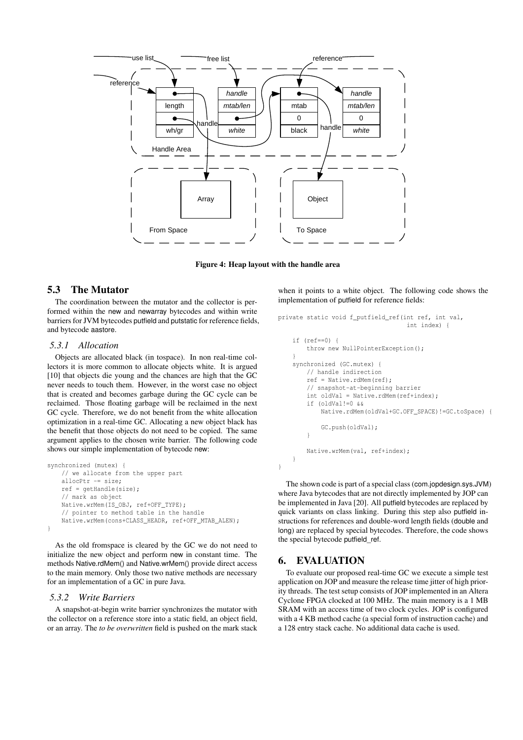

Figure 4: Heap layout with the handle area

}

## 5.3 The Mutator

The coordination between the mutator and the collector is performed within the new and newarray bytecodes and within write barriers for JVM bytecodes putfield and putstatic for reference fields, and bytecode aastore.

### *5.3.1 Allocation*

Objects are allocated black (in tospace). In non real-time collectors it is more common to allocate objects white. It is argued [10] that objects die young and the chances are high that the GC never needs to touch them. However, in the worst case no object that is created and becomes garbage during the GC cycle can be reclaimed. Those floating garbage will be reclaimed in the next GC cycle. Therefore, we do not benefit from the white allocation optimization in a real-time GC. Allocating a new object black has the benefit that those objects do not need to be copied. The same argument applies to the chosen write barrier. The following code shows our simple implementation of bytecode new:

```
synchronized (mutex) {
   // we allocate from the upper part
   allocPtr -= size;
   ref = getHandle(size);
    // mark as object
   Native.wrMem(IS_OBJ, ref+OFF_TYPE);
    // pointer to method table in the handle
   Native.wrMem(cons+CLASS_HEADR, ref+OFF_MTAB_ALEN);
}
```
As the old fromspace is cleared by the GC we do not need to initialize the new object and perform new in constant time. The methods Native.rdMem() and Native.wrMem() provide direct access to the main memory. Only those two native methods are necessary for an implementation of a GC in pure Java.

### *5.3.2 Write Barriers*

A snapshot-at-begin write barrier synchronizes the mutator with the collector on a reference store into a static field, an object field, or an array. The *to be overwritten* field is pushed on the mark stack

when it points to a white object. The following code shows the implementation of putfield for reference fields:

```
private static void f_putfield_ref(int ref, int val,
                                     int index) {
    if (ref==0) {
        throw new NullPointerException();
    }
    synchronized (GC.mutex) {
        // handle indirection
        ref = Native.rdMem(ref);
        // snapshot-at-beginning barrier
        int oldVal = Native.rdMem(ref+index);
        if (oldVal!=0 &&
            Native.rdMem(oldVal+GC.OFF_SPACE)!=GC.toSpace) {
            GC.push(oldVal);
        }
        Native.wrMem(val, ref+index);
    }
```
The shown code is part of a special class (com.jopdesign.sys.JVM) where Java bytecodes that are not directly implemented by JOP can be implemented in Java [20]. All putfield bytecodes are replaced by quick variants on class linking. During this step also putfield instructions for references and double-word length fields (double and long) are replaced by special bytecodes. Therefore, the code shows the special bytecode putfield\_ref.

### 6. EVALUATION

To evaluate our proposed real-time GC we execute a simple test application on JOP and measure the release time jitter of high priority threads. The test setup consists of JOP implemented in an Altera Cyclone FPGA clocked at 100 MHz. The main memory is a 1 MB SRAM with an access time of two clock cycles. JOP is configured with a 4 KB method cache (a special form of instruction cache) and a 128 entry stack cache. No additional data cache is used.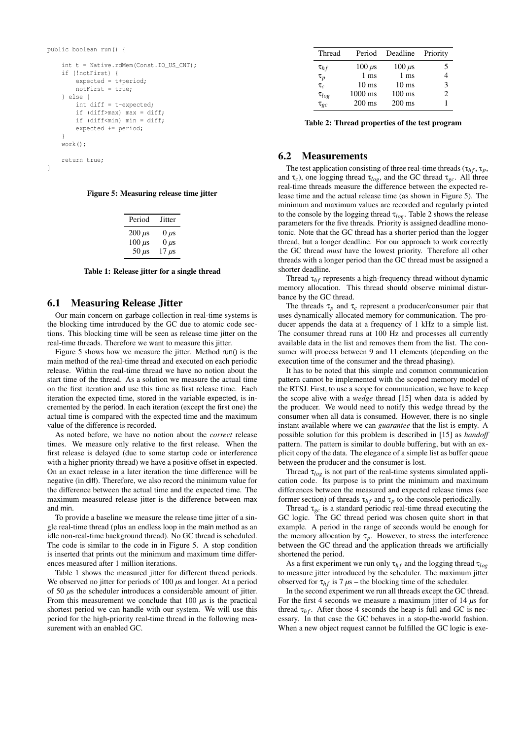```
public boolean run() {
    int t = Native.rdMem(Const.IO_US_CNT);
    if (!notFirst) {
        expected = t+period;notFirst = true;
    } else {
        int diff = t-expected;if (diff>max) max = diff;
        if (diff<min) min = diff;
        expected += period;
    }
    work();
    return true;
```
}

Figure 5: Measuring release time jitter

| Period                     | Jitter                 |
|----------------------------|------------------------|
| $200 \mu s$<br>$100 \mu s$ | $0 \mu s$<br>$0 \mu s$ |
| 50 $\mu$ s                 | $17 \mu s$             |

Table 1: Release jitter for a single thread

### 6.1 Measuring Release Jitter

Our main concern on garbage collection in real-time systems is the blocking time introduced by the GC due to atomic code sections. This blocking time will be seen as release time jitter on the real-time threads. Therefore we want to measure this jitter.

Figure 5 shows how we measure the jitter. Method run() is the main method of the real-time thread and executed on each periodic release. Within the real-time thread we have no notion about the start time of the thread. As a solution we measure the actual time on the first iteration and use this time as first release time. Each iteration the expected time, stored in the variable expected, is incremented by the period. In each iteration (except the first one) the actual time is compared with the expected time and the maximum value of the difference is recorded.

As noted before, we have no notion about the *correct* release times. We measure only relative to the first release. When the first release is delayed (due to some startup code or interference with a higher priority thread) we have a positive offset in expected. On an exact release in a later iteration the time difference will be negative (in diff). Therefore, we also record the minimum value for the difference between the actual time and the expected time. The maximum measured release jitter is the difference between max and min.

To provide a baseline we measure the release time jitter of a single real-time thread (plus an endless loop in the main method as an idle non-real-time background thread). No GC thread is scheduled. The code is similar to the code in in Figure 5. A stop condition is inserted that prints out the minimum and maximum time differences measured after 1 million iterations.

Table 1 shows the measured jitter for different thread periods. We observed no jitter for periods of 100 *µ*s and longer. At a period of 50 *µ*s the scheduler introduces a considerable amount of jitter. From this measurement we conclude that 100 *µ*s is the practical shortest period we can handle with our system. We will use this period for the high-priority real-time thread in the following measurement with an enabled GC.

| Thread                   |                  | Period Deadline  | Priority       |
|--------------------------|------------------|------------------|----------------|
| $\tau_{hf}$              | $100 \mu s$      | $100 \mu s$      | 5              |
| $\tau_p$                 | $1 \text{ ms}$   | $1 \text{ ms}$   | 4              |
| $\tau_c$                 | $10 \text{ ms}$  | $10 \text{ ms}$  | 3              |
|                          | $1000$ ms        | $100 \text{ ms}$ | $\mathfrak{D}$ |
| $\tau_{log}$ $\tau_{gc}$ | $200 \text{ ms}$ | $200 \text{ ms}$ |                |

Table 2: Thread properties of the test program

### 6.2 Measurements

The test application consisting of three real-time threads ( $\tau_{hf}$ ,  $\tau_p$ , and  $\tau_c$ ), one logging thread  $\tau_{log}$ , and the GC thread  $\tau_{gc}$ . All three real-time threads measure the difference between the expected release time and the actual release time (as shown in Figure 5). The minimum and maximum values are recorded and regularly printed to the console by the logging thread τ*log*. Table 2 shows the release parameters for the five threads. Priority is assigned deadline monotonic. Note that the GC thread has a shorter period than the logger thread, but a longer deadline. For our approach to work correctly the GC thread *must* have the lowest priority. Therefore all other threads with a longer period than the GC thread must be assigned a shorter deadline.

Thread  $\tau_{hf}$  represents a high-frequency thread without dynamic memory allocation. This thread should observe minimal disturbance by the GC thread.

The threads  $\tau_p$  and  $\tau_c$  represent a producer/consumer pair that uses dynamically allocated memory for communication. The producer appends the data at a frequency of 1 kHz to a simple list. The consumer thread runs at 100 Hz and processes all currently available data in the list and removes them from the list. The consumer will process between 9 and 11 elements (depending on the execution time of the consumer and the thread phasing).

It has to be noted that this simple and common communication pattern cannot be implemented with the scoped memory model of the RTSJ. First, to use a scope for communication, we have to keep the scope alive with a *wedge* thread [15] when data is added by the producer. We would need to notify this wedge thread by the consumer when all data is consumed. However, there is no single instant available where we can *guarantee* that the list is empty. A possible solution for this problem is described in [15] as *handoff* pattern. The pattern is similar to double buffering, but with an explicit copy of the data. The elegance of a simple list as buffer queue between the producer and the consumer is lost.

Thread  $\tau_{log}$  is not part of the real-time systems simulated application code. Its purpose is to print the minimum and maximum differences between the measured and expected release times (see former section) of threads  $\tau_{hf}$  and  $\tau_p$  to the console periodically.

Thread  $\tau_{gc}$  is a standard periodic real-time thread executing the GC logic. The GC thread period was chosen quite short in that example. A period in the range of seconds would be enough for the memory allocation by  $\tau_p$ . However, to stress the interference between the GC thread and the application threads we artificially shortened the period.

As a first experiment we run only  $\tau_{hf}$  and the logging thread  $\tau_{log}$ to measure jitter introduced by the scheduler. The maximum jitter observed for  $\tau_{hf}$  is 7  $\mu$ s – the blocking time of the scheduler.

In the second experiment we run all threads except the GC thread. For the first 4 seconds we measure a maximum jitter of 14 *µ*s for thread  $\tau_{hf}$ . After those 4 seconds the heap is full and GC is necessary. In that case the GC behaves in a stop-the-world fashion. When a new object request cannot be fulfilled the GC logic is exe-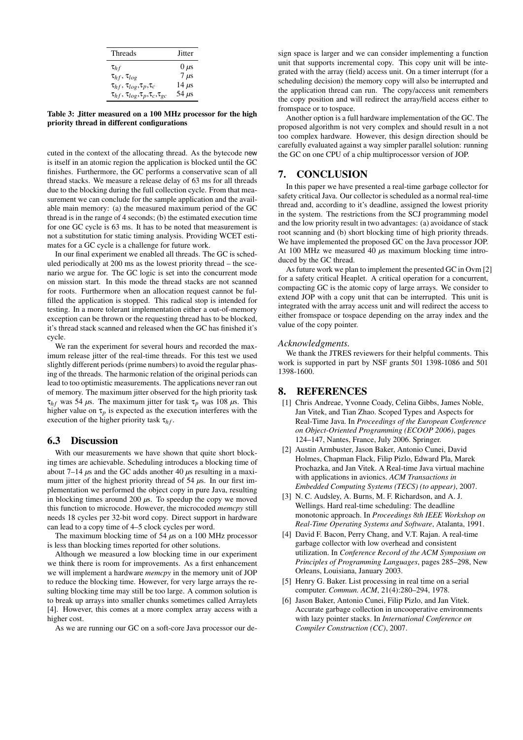| <b>Threads</b>                                     | <b>Jitter</b> |
|----------------------------------------------------|---------------|
| $\tau_{hf}$                                        | $0 \mu s$     |
| $\tau_{hf}, \tau_{log}$                            | $7 \mu s$     |
| $\tau_{hf}, \tau_{log}, \tau_p, \tau_c$            | $14 \mu s$    |
| $\tau_{hf}, \tau_{log}, \tau_p, \tau_c, \tau_{gc}$ | $54 \mu s$    |

Table 3: Jitter measured on a 100 MHz processor for the high priority thread in different configurations

cuted in the context of the allocating thread. As the bytecode new is itself in an atomic region the application is blocked until the GC finishes. Furthermore, the GC performs a conservative scan of all thread stacks. We measure a release delay of 63 ms for all threads due to the blocking during the full collection cycle. From that measurement we can conclude for the sample application and the available main memory: (a) the measured maximum period of the GC thread is in the range of 4 seconds; (b) the estimated execution time for one GC cycle is 63 ms. It has to be noted that measurement is not a substitution for static timing analysis. Providing WCET estimates for a GC cycle is a challenge for future work.

In our final experiment we enabled all threads. The GC is scheduled periodically at 200 ms as the lowest priority thread – the scenario we argue for. The GC logic is set into the concurrent mode on mission start. In this mode the thread stacks are not scanned for roots. Furthermore when an allocation request cannot be fulfilled the application is stopped. This radical stop is intended for testing. In a more tolerant implementation either a out-of-memory exception can be thrown or the requesting thread has to be blocked, it's thread stack scanned and released when the GC has finished it's cycle.

We ran the experiment for several hours and recorded the maximum release jitter of the real-time threads. For this test we used slightly different periods (prime numbers) to avoid the regular phasing of the threads. The harmonic relation of the original periods can lead to too optimistic measurements. The applications never ran out of memory. The maximum jitter observed for the high priority task τ*h f* was 54 *µ*s. The maximum jitter for task τ*<sup>p</sup>* was 108 *µ*s. This higher value on  $\tau_p$  is expected as the execution interferes with the execution of the higher priority task  $\tau_{hf}$ .

# 6.3 Discussion

With our measurements we have shown that quite short blocking times are achievable. Scheduling introduces a blocking time of about 7–14  $\mu$ s and the GC adds another 40  $\mu$ s resulting in a maximum jitter of the highest priority thread of 54  $\mu$ s. In our first implementation we performed the object copy in pure Java, resulting in blocking times around 200 *µ*s. To speedup the copy we moved this function to microcode. However, the microcoded *memcpy* still needs 18 cycles per 32-bit word copy. Direct support in hardware can lead to a copy time of 4–5 clock cycles per word.

The maximum blocking time of 54  $\mu$ s on a 100 MHz processor is less than blocking times reported for other solutions.

Although we measured a low blocking time in our experiment we think there is room for improvements. As a first enhancement we will implement a hardware *memcpy* in the memory unit of JOP to reduce the blocking time. However, for very large arrays the resulting blocking time may still be too large. A common solution is to break up arrays into smaller chunks sometimes called Arraylets [4]. However, this comes at a more complex array access with a higher cost.

As we are running our GC on a soft-core Java processor our de-

sign space is larger and we can consider implementing a function unit that supports incremental copy. This copy unit will be integrated with the array (field) access unit. On a timer interrupt (for a scheduling decision) the memory copy will also be interrupted and the application thread can run. The copy/access unit remembers the copy position and will redirect the array/field access either to fromspace or to tospace.

Another option is a full hardware implementation of the GC. The proposed algorithm is not very complex and should result in a not too complex hardware. However, this design direction should be carefully evaluated against a way simpler parallel solution: running the GC on one CPU of a chip multiprocessor version of JOP.

### 7. CONCLUSION

In this paper we have presented a real-time garbage collector for safety critical Java. Our collector is scheduled as a normal real-time thread and, according to it's deadline, assigned the lowest priority in the system. The restrictions from the SCJ programming model and the low priority result in two advantages: (a) avoidance of stack root scanning and (b) short blocking time of high priority threads. We have implemented the proposed GC on the Java processor JOP. At 100 MHz we measured 40 *µ*s maximum blocking time introduced by the GC thread.

As future work we plan to implement the presented GC in Ovm [2] for a safety critical Heaplet. A critical operation for a concurrent, compacting GC is the atomic copy of large arrays. We consider to extend JOP with a copy unit that can be interrupted. This unit is integrated with the array access unit and will redirect the access to either fromspace or tospace depending on the array index and the value of the copy pointer.

#### *Acknowledgments.*

We thank the JTRES reviewers for their helpful comments. This work is supported in part by NSF grants 501 1398-1086 and 501 1398-1600.

### 8. REFERENCES

- [1] Chris Andreae, Yvonne Coady, Celina Gibbs, James Noble, Jan Vitek, and Tian Zhao. Scoped Types and Aspects for Real-Time Java. In *Proceedings of the European Conference on Object-Oriented Programming (ECOOP 2006)*, pages 124–147, Nantes, France, July 2006. Springer.
- [2] Austin Armbuster, Jason Baker, Antonio Cunei, David Holmes, Chapman Flack, Filip Pizlo, Edward Pla, Marek Prochazka, and Jan Vitek. A Real-time Java virtual machine with applications in avionics. *ACM Transactions in Embedded Computing Systems (TECS) (to appear)*, 2007.
- [3] N. C. Audsley, A. Burns, M. F. Richardson, and A. J. Wellings. Hard real-time scheduling: The deadline monotonic approach. In *Proceedings 8th IEEE Workshop on Real-Time Operating Systems and Software*, Atalanta, 1991.
- [4] David F. Bacon, Perry Chang, and V.T. Rajan. A real-time garbage collector with low overhead and consistent utilization. In *Conference Record of the ACM Symposium on Principles of Programming Languages*, pages 285–298, New Orleans, Louisiana, January 2003.
- [5] Henry G. Baker. List processing in real time on a serial computer. *Commun. ACM*, 21(4):280–294, 1978.
- [6] Jason Baker, Antonio Cunei, Filip Pizlo, and Jan Vitek. Accurate garbage collection in uncooperative environments with lazy pointer stacks. In *International Conference on Compiler Construction (CC)*, 2007.